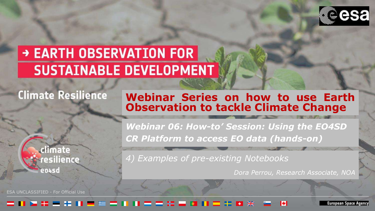

# → EARTH OBSERVATION FOR **SUSTAINABLE DEVELOPMENT**

# **Climate Resilience**

#### **Webinar Series on how to use Earth Observation to tackle Climate Change**

climate esilience: entsd

ESA UNCLASSIFIED - For Official Use

*Webinar 06: How-to' Session: Using the EO4SD CR Platform to access EO data (hands-on)* 

*4) Examples of pre-existing Notebooks*

*Dora Perrou, Research Associate, NOA*

#### - 33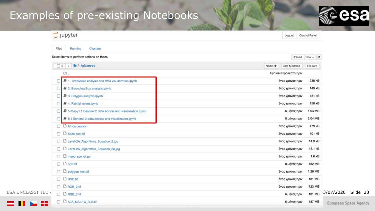

|                         | $\supseteq$ Jupyter                                      | Control Panel<br>Logout    |                                 |
|-------------------------|----------------------------------------------------------|----------------------------|---------------------------------|
|                         | Running<br><b>Clusters</b><br>Files                      |                            |                                 |
|                         | Select items to perform actions on them.                 | Upload New $\sim$ $\sigma$ |                                 |
|                         | 0 - <b>M</b> / Advanced                                  | Last Modified<br>Name +    | File size                       |
|                         | a.                                                       | λίγα δευτερόλεπτα πριν     |                                 |
|                         | 2 1. Timeseries analysis and data visualization.ipynb    | ένας χρόνος πριν           | 230 kB                          |
|                         | 2. Bounding Box analysis, ipynb                          | ένας χρόνος πριν           | 149 kB                          |
|                         | 3. Polygon analysis.jpynb                                | ένας χρόνος πριν           | 481 kB                          |
|                         | 4. Rainfall event.jpynb                                  | ένας χρόνος πριν           | 158 kB                          |
|                         | 5-Copy1.1 Sentinel 2 data access and visualization ipynb | 6 μήνες πριν               | 1.03 MB                         |
|                         | 图 5.1 Sentinel 2 data access and visualization.ipynb     | 8 μήνες πριν               | 2.04 MB                         |
|                         | Africa.geojson<br>n                                      | ένας χρόνος πριν           | 479 kB                          |
|                         | <b>D</b> bbox_test.tif                                   | ένας χρόνος πριν           | 101 kB                          |
|                         | <b>D</b> Level-2A Algorithms Equation 2.jpg              | ένας χρόνος πριν           | 14.9 kB                         |
|                         | D Level-2A Algorithms Equation 2a.jpg                    | ένας χρόνος πριν           | 18.1 kB                         |
|                         | <sup>1</sup> meeo_sso_cli.py                             | ένας χρόνος πριν           | 1.6 kB                          |
|                         | $\Box$ $\Box$ ndvi.tif                                   | 8 μήνες πριν               | 482 MB                          |
|                         | <b>D</b> polygon_test.tif                                | ένας χρόνος πριν           | 1.26 MB                         |
|                         | $\Box$ $\Box$ RGB.tif                                    | ένας χρόνος πριν           | 181 MB                          |
|                         | □ □ RGB_2.tif                                            | ένας χρόνος πριν           | 723 MB                          |
| <b>ESA UNCLASSIFIED</b> | D <b>D</b> RGB 3.tif                                     | 6 μήνες πριν               | 3/07/2020   Slide 23<br>181 MB  |
| œ<br>. .                | S2A MSIL1C_B02.tif                                       | 6 μήνες πριν               | 187 MB<br>Furnnean Sasca Anancy |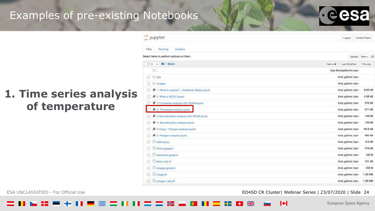

# **1. Time series analysis of temperature**

| Š<br>jupyter                                   |        | Logout                 | Control Pariel |
|------------------------------------------------|--------|------------------------|----------------|
| <b>VARIOUS</b><br>Clusters<br>Running<br>Files |        |                        |                |
| Select items to perform actions on them.       |        | Upload                 | $New + 2$      |
| □ o → ■/ Basic                                 | Name + | Last Modified          | File size      |
| à.                                             |        | λίγα δευτερόλεπτα πριν |                |
| <b>C</b> Dats                                  |        | ένας χρόνος πριν       |                |
| C) images<br>Ð                                 |        | ένας χρόνος πριν       |                |
| F 1. What is Jupyter? + Notebook Basics (pynb) |        | ένας χρόνος πριν       | 8.66 kB        |
| # 2. What is WGS7.jpynb.<br>n                  |        | ένας χρόνος πριγ       | 4.58 kB        |
| 最 3-Timeseries analysis with ADAM (pyrib.<br>o |        | ένας χρόνος πριν       | 376 kB         |
| 3. Timeseries analysis.lpyrib                  |        | ένας χρόνος πριν       | 371 kB         |
| E 4-Bounding Box analysis with ADAM ipyrib     |        | ένας χρόνος πριν       | 148 kB         |
| 4 4. Bounding Box analysis ipyrib<br>o         |        | ένας χρόνος πριν       | 149 kB         |
| 5-Copy1, Polygon analysis inynti.<br>n.        |        | ένας χρόνος πριν       | 65.6 kB        |
| E 5. Polygon analysis.jpyrib.                  |        | ένας χρόνος πριν       | 482 kB         |
| C adampy.py<br>O                               |        | ένας χρόνος πριν       | 9.6kB          |
| Africa.geojson                                 |        | ένας χρόνος πριν       | 479 kB         |
| C barcelons.geopon.<br>G                       |        | ένας χρόνος πριν       | 542 B          |
| <b>D</b> book tast ut<br>厅                     |        | ένας χρόνος πριν       | 101 kB         |
| <b>C</b> engage.geojam                         |        | ένας χρόνος προ/       | 555 B          |
| <b>C</b> image 18                              |        | ένας χρόνος πριν       | 1.26 MB        |
| D polygon_test.tif<br>o                        |        | ένας χρόνος πριν       | 1.26 MB        |

ESA UNCLASSIFIED - For Official Use **EXA UNCLASSIFIED - For Official Use** 24

м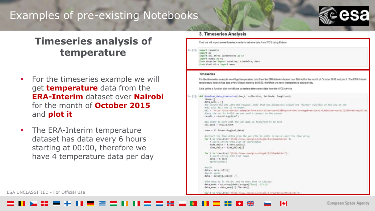## **Timeseries analysis of temperature**

- For the timeseries example we will get **temperature** data from the **ERA-Interim** dataset over **Nairobi** for the month of **October 2015**  and **plot it**
- The ERA-Interim temperature dataset has data every 6 hours starting at 00:00, therefore we have 4 temperature data per day

#### 3. Timeseries Analysis

First, we will import some libraries in order to retrieve data from WCS using Python

In [1]: import requests import as import wel.etree.ElementTree as ET Import numpy as np from datating import datating, timedalis, data from statistics import mean

#### Timeseries

For the timeseries example we will get temperature data from the ERA-Interior dataset over Nairobi for the month of October 2015 and plot it. The ERA-Interim temperature dataset has data every 6 hours starting at 00.00, therefore we have 4 temperature data per day.

bet's define a function that we will use to retrieve time series data from the WCS service.

```
Im [1]: def download data timeseries(time t, collection, latitude, longitude):
             times-II
             data mean = []
             Ale create the UKL with the request, Note that the parqueters legisle the "format" function at the and of the
             AURL will fill the () in arder.
             url = 'http://ucs-ed-micr.edamplatform.ea/wcsfiervice-WES&Request-GetCoverageWoorslon=Ju0.B&udmat=unie(())Aformat=agplicat
             school the ard is halls, se can send a request to the server
             result - requests.get(url)
             Ally order to work with the uni mits on transform it to text.
             wel data - resultitest
            tree - tT.fromstring(vml data)
             AEATract the time delto From the aul File in order to build Later the time areas
             for t in tree.Iter('(http://www.opengis.nst/gel/1.2]lowerCorner');
                # spitt string into itst of countiestes
                 time delta = t.text.split()
                 time_delta = time_delta[2]
             for t in tree.iter('[http://wew.opengis.net/gml/i.2}tupleiist'):
                 # split string into list temps
                 data = t.text
                 War-firt (Matina)
             Aust Of
             distx = distx \cdot split(t))Wealit sprint
             deta - deta[0].opIit(',')
             After data is in missin, and an weet then in ceisius
             data_msan = np.array(data).astype(flnst) -273.15
             data mean - data mean[:].flatten()
```
ESA UNCLASSIFIED - For Official Use Equation According to the Contract Contract Contract Contract Contract Contract Contract Contract Contract Contract Contract Contract Contract Contract Contract Contract Contract Contrac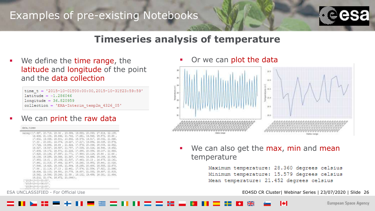

#### **Timeseries analysis of temperature**

We define the time range, the latitude and longitude of the point and the data collection

"2015-10-01T00:00:00,2015-10-31T23:59:59" time  $= -1.286046$ tude  $longitude = 36.820959$ collection = 'ERA-Interim temp2m 4326 05'

We can print the raw data

| Cata, times                                                             |                                                                 |  |  |  |
|-------------------------------------------------------------------------|-----------------------------------------------------------------|--|--|--|
| (array (11,997) 20.718, 21,36 , 23,384, 18,893, 20,093, 27,814, 22,135, |                                                                 |  |  |  |
| 18.438, 21.138, 26.882, 21.783, 17.891, 18.588, 25.372, 20.93.          |                                                                 |  |  |  |
|                                                                         | 17,602, 19,335, 26,801, 20,802, 19,579, 19,517, 28,002, 21,846, |  |  |  |
|                                                                         | 17.33 , 20.033; 22.374, 19.227, 17.217, 19.454, 26.035, 20.574, |  |  |  |
|                                                                         | 17.724, 19.884, 28.49 , 21.024, 17.879, 20.099, 28.008, 22.062, |  |  |  |
|                                                                         | 18:127, 19:537, 26:197, 21:757, 17:039, 30:026, 36:548, 18:45%, |  |  |  |
|                                                                         | 17.000, 10.172, 28.271, 31.228, 17.338, 30.054, 26.107, 21.003, |  |  |  |
|                                                                         | 17.428, 20.184, 27.997, 21.772, 17.908; 20.124, 25.84 , 21.44 , |  |  |  |
|                                                                         | 18.139; 19.255; 25.360; 21.127; 17.843; 18.490; 25.155; 21.565; |  |  |  |
|                                                                         | 17.895 19.01., 25.189, 21.537, 17.443, 20.15 , 24.478, 22.141.  |  |  |  |
|                                                                         | 17.991, 21.318, 27.450, 22.477, 18.260, 10.953, 25.441, 21.020, |  |  |  |
|                                                                         | 17.848, 19.425, 25.069, 21.594, 18.285, 20.486, 18.555, 22.973, |  |  |  |
|                                                                         | 17,06., 21,114, 27,13 , 22,461, 17,574, 21,554, 27,821, 21,096, |  |  |  |
|                                                                         | 18.634, 22.103, 24.881, 20.773, 16.637, 21.053, 25.687, 21.815, |  |  |  |
|                                                                         | 18.161, 19.546, 25.249, 21.39 , 19.132, 19.499, 16.381, 11.484, |  |  |  |
|                                                                         | 18.212, 21.074, 26.472, 21.09411,                               |  |  |  |
| "2015-10-01-03:00".<br>"2015-10-01-06:00",<br>*18518-10-51-12:00'L      |                                                                 |  |  |  |

Or we can plot the data



We can also get the max, min and mean temperature

```
Maximum temperature: 28.360 degrees celsius
Minimum temperature: 15.579 degrees celsius
Mean temperature: 21.452 degrees celsius
```
ESA UNCLASSIFIED - For Official Use **EO4SD CR Cluster| Webinar Series | 23/07/2020 | Slide 26**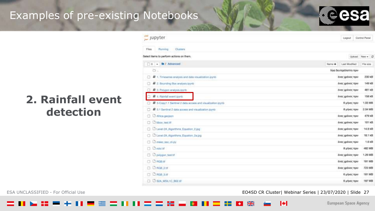

## **2. Rainfall event detection**

| jupyter                                                    | Logout                  | Control Panel |
|------------------------------------------------------------|-------------------------|---------------|
| Filas<br><b>Running</b><br>Clusters                        |                         |               |
| elect items to perform actions on them.                    |                         | Upload New -  |
| Do - <b>la</b> / Advanced                                  | Name +<br>Last Modified | File size     |
| a.                                                         | λίγα δευτερόλεπτα πριν  |               |
| u<br>1. Timesettes analysis and data visualization.jpynb   | ένας χρόνος πριν        | 230 kB        |
| 2. Bounding Box analysis loynta                            | ένας χρόνος πριν        | 149 kB        |
| 最 3. Polygon analysis.pyrib                                | EVER 1000VOC PERM       | 481 kB        |
| # 4. Raintall event ipynb<br>a                             | évac χρόνος πριν        | 158 kB        |
| E 5-Copy1.1 Sentinel 2 data access and visualization pyrib | 6 μήνες πριν            | 1.03 MB       |
| E 5.1 Sentinel 2 data access and visualization.jpyrid      | 8 urbest; now           | 2.04 MB       |
| Africa geojaph<br>G.                                       | ένας χρόνος πριν        | 479 kB        |
| bbox, test If<br>o.                                        | ένας χρόνος πριν        | 101 kg        |
| C Level-2A Algorithms, Equation, 2.jpg                     | ένας χρόνος πριν        | 14.9 kB       |
| C Lavel-2A, Algorithmis, Equation, 2a ing.                 | ένας χρόνος πριν        | 18.1 kg       |
| $\Box$ mooo sag cl.py                                      | ένας χρόνος πριν        | 1.6 kB        |
| $\Box$ $\Box$ navi.tif                                     | 8 μήνες πριν            | 482 ME        |
| polygon test.tit                                           | ένας χρόνος πριν        | 1.26 MB       |
| $\Box$ $\Box$ RGB of                                       | ένας χρόνος πριν        | 181 MB        |
| <b>DRAB 2M</b><br>(3)                                      | ένας χρόνος πριν        | 723 MB        |
| CT C RGB 3.tf                                              | 6 unweg now             | 181 MB        |
| LI S2A MBIL1C B02.III<br>a.                                | 6 μήνες πριν            | 187 MB        |
|                                                            |                         |               |

ESA UNCLASSIFIED - For Official Use **EDAS UNCLASSIFIED - For Official Use EDAS ENGLASSIFIED - For Official Use** 27

Т÷І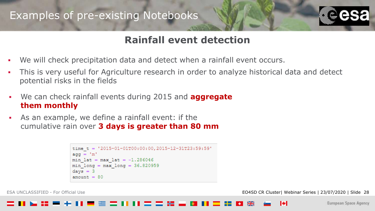

### **Rainfall event detection**

- We will check precipitation data and detect when a rainfall event occurs.
- This is very useful for Agriculture research in order to analyze historical data and detect potential risks in the fields
- We can check rainfall events during 2015 and **aggregate them monthly**
- As an example, we define a rainfall event: if the cumulative rain over **3 days is greater than 80 mm**

```
time t = 72015 - 01 - 01T00:00:00.2015 - 12 - 31T23:59:59'aqq = 'm'min lat = max lat = -1.286046min long = max long = 36.820959
days = 3amount = 80
```
ESA UNCLASSIFIED - For Official Use EO4SD CR Cluster| Webinar Series | 23/07/2020 | Slide 28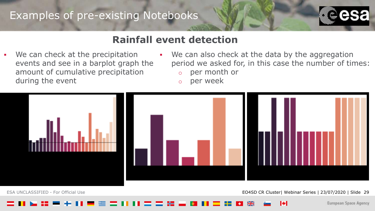

#### **Rainfall event detection**

- We can check at the precipitation events and see in a barplot graph the amount of cumulative precipitation during the event
- We can also check at the data by the aggregation period we asked for, in this case the number of times:
	- o per month or
	- o per week



ESA UNCLASSIFIED - For Official Use **EXA UNCLASSIFIED - For Official Use** 29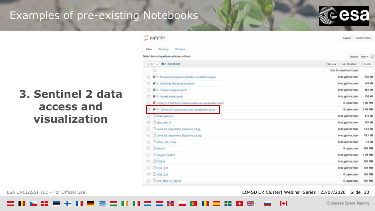

## **3. Sentinel 2 data access and visualization**

| $j$ upyter                                                         |                      | Logout                 | Control Panel  |
|--------------------------------------------------------------------|----------------------|------------------------|----------------|
| <b>Running</b><br>Clusters<br>Filing                               |                      |                        |                |
| sect items to perform actions on them.                             |                      |                        | Upload New - 2 |
| O - <b>la</b> / Advanced                                           | Name + Last Modified |                        | File size      |
| a.                                                                 |                      | λίγα δευτερόλεπτα πριν |                |
| F 1. Timesettes analysis and data visualization.jpynb<br>G)        |                      | ένας χρόνος πριν       | 230 kB         |
| 2. Bounding Box analysis loyab                                     |                      | ένας χρόνος πριν       | 149 kB         |
| 最 3. Polygon analysis.pyrib.                                       |                      | EVER XPOVOC REMY       | 481 kB         |
| 是 4. Raintall event.ipynb<br>n:                                    |                      | évac χρόνος πριν       | 158 kB         |
| E 5-Copy1.1 Sentinel 2 data access and visualization gynts<br>an s |                      | 6 μήνες πριν           | 1.03 MB        |
| B 5.1 Sentinel 2 data access and visualization.jpyrid              |                      | 8 urbas; now           | 2.04 MB        |
| <b>C D Africa geojapo</b>                                          |                      | ένας χρόνος πριν       | 479 kB         |
| bbox, test Iff<br>88                                               |                      | ёнис хро́нос пряг      | 101 kB         |
| C C Level-2A Algorithms, Equation, 2.jpg                           |                      | ένας χρόνος πριν       | 14.9 kB        |
| Linne-2A Algorithms Equation 2a ing                                |                      | ένας χρόνος πριν       | 18.1 kB        |
| need sta clupy                                                     |                      | ένας χρόνος πριν       | 1.6 kB         |
| $\Box$ $\Box$ navi.tif                                             |                      | 8 μήνες πριν           | 482 MB         |
| polygon test.tif<br>曰                                              |                      | ένας χρόνος πριν       | 1.26 MB        |
| $\Box$ $\Box$ RGB of                                               |                      | ένας χρόνος πριν       | 181 MB         |
| <b>C L ROB 2.M</b>                                                 |                      | ένας χρόνος πριν       | 723 MB         |
| C) C) RGB 3.tf                                                     |                      | 6 privice mow          | 181 MB         |
| C C 62A MBL1C 802.III                                              |                      | 6 unvec now            | 187 MB         |
|                                                                    |                      |                        |                |

ESA UNCLASSIFIED - For Official Use EO4SD CR Cluster| Webinar Series | 23/07/2020 | Slide 30

Т÷І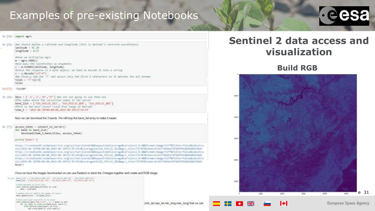

#### In [4]; import mars

| [3]: Mwe should define a intitude and langitude (this is Nairobi's controld coordinates)<br>$l$ atitude = $41.78$<br>longitude = 0.57                                                                                                                                                                                                                                    |
|--------------------------------------------------------------------------------------------------------------------------------------------------------------------------------------------------------------------------------------------------------------------------------------------------------------------------------------------------------------------------|
| #then we initialize mars:<br>$m = magrs.19385()$<br>Mond pass the countinates as organents<br>c = m.toMGRS(latitude, longitude)<br>#ainte the response is a hyte abject, we need to decode it into a string<br>$c = c$ , decode('utf-8')<br>mae finally add the 'T' and melect only the first 5 characters so it matches the WCS format<br>$t11e5 = T' + c[15]$<br>tiles |

Out[5]: 'T31TBF'

In  $[6]$ : bbox =  $[1-2^{\circ}, 2^{\circ}, 35^{\circ}, 37^{\circ}]$  the ore not going to use them now athe names match the collection names in the server band list - ['524 MSILIC B11', '524 MSILIC B08', '524 MSILIC B02'] Whis is the most excent cloud free image of Nairold time t = '3019-06-30700:00:00.2019-06-30721:50:50"

Now we can download the 3 bands. We will loop the band, list array to make it easier.

In [7] access\_token = connect\_to\_server() for band in band list: dounload(time t, band, tiles, access token)

#### print('Donell')

https://cresdias01.esdataservice.org/wcs?service+ACS&Request=GetCoverageBuersion=2.0.0&Bformat=image/tiff&filter=false&subset=a nix(3013-06-38T00:06:06,2019-06-38T23:59:59)&CoverageId=S2A PSILIC\_B11&mgrs\_tile=T31TBF&token=9c9e77466b674f489f69d0d4435683 https://croodiat01.ebdataservice.org/wcs?service=WCS&Request=GetCoverageNoers16H=2.8.0&Rformat=Image/tiff&filter=fslie&Subset=u his/2019-06-38700:00:00,2019-06-38721:59:58 |ACoverageId=S2A PSIL1C BBBSegrs 111s=T31TBF&tshen=9c9u77466ba747429f69a0d4d84350d3 https://creodianOI.eodataservice.org/wcs?service=ACS&Request=OetCoverage&version=2.0.0&Aformat=1mage/tiff&filter=false&subset=a nix(2019-06-30700:00:00,D019-00-30723:59:50)&CoverageId=S2A HSILIC B02&mgrs tile=T31TBF&tchen=9cSe77400bs74f489f69d0d4d84330d3 Done!

Once we have the images downloaded we can use Rasterio to stack the 3 images together and create and RGB image.

10 [3]; Meni, List x ("100, 0003) and 3(P); "100, 0013; and 3(P); "100, 0013; and 3(P) New Line - I'S a HOLD, BULLEY, THA HOLD, BRUSH', THA HOLD, BULLEY'S

a feet second of third 31th aim nata-to.apendant list(4)) as soonsets - architects

a local ager Ligar and with 14 to your also ractacionamentes sull', le', "festal en duti Nor Dr. Layer in contentialised link, start-lillsilità ractaria aperilaveri ac pritidat meter broklin, prelimentilit



#### **Sentinel 2 data access and visualization**

#### **Build RGB**



Iф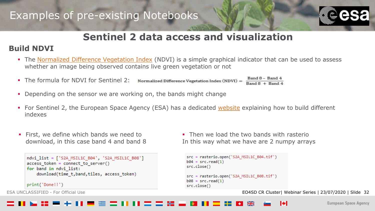

### **Sentinel 2 data access and visualization**

#### **Build NDVI**

- The [Normalized Difference Vegetation Index](https://en.wikipedia.org/wiki/Normalized_difference_vegetation_index) (NDVI) is a simple graphical indicator that can be used to assess whether an image being observed contains live green vegetation or not
- $BandB Band 4$ **•** The formula for NDVI for Sentinel 2: Normalized Difference Vegetation Index (NDVI) =  $Band 8 + Band 4$
- **Depending on the sensor we are working on, the bands might change**
- For Sentinel 2, the European Space Agency (ESA) has a dedicated [website](https://earth.esa.int/web/sentinel/technical-guides/sentinel-2-msi/level-2a/algorithm) explaining how to build different indexes
- **·** First, we define which bands we need to download, in this case band 4 and band 8

```
ndvi list = ['S2A MSIL1C B04', 'S2A MSIL1C B08']
access token = connect to server()
for band in ndvi list:
    download(time t,band,tiles, access token)
```
print('Done!!')

**.** Then we load the two bands with rasterio In this way what we have are 2 numpy arrays

```
src = rasterio.open('S2A MSIL1C B04.tif')
b04 = src.read(1)src.close()
src = rasterio.open('S2A_MSIL1C_B08.tif')
b08 = src.read(1)src.close()
```
ESA UNCLASSIFIED - For Official Use **EQ4SD CR Cluster| Webinar Series | 23/07/2020 | Slide 32**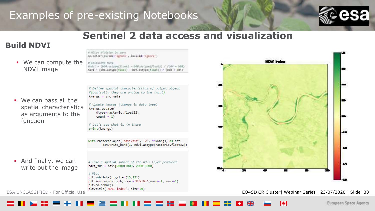# ALLow division by zero



#### **Sentinel 2 data access and visualization**

#### **Build NDVI**

▪ We can compute the NDVI image

np.seterr(divide="ignore", invalid="ignore") # Calculate NOVI #ndvi = (b04.astype(floot) - b00.astype(floot)) / (b04 + b00) ndv1 = (b86.astype(float) - b84.astype(float)) / (b88 + b84)

# Define spatial characteristics of output object #(basically they are analog to the input) kwargs = src.meta

▪ We can pass all the spatial characteristics as arguments to the function

# Update kwargs (change in data type) kwargs.update( dtype=rasterio.float32,  $count = 1$ 

# Let's see what is in there print(kwargs)

with rasterio.open('ndvi.tif', 'w', \*\*kwargs) as dst: dst.write band(1, ndvi.astype(rasterio.float32))

**• And finally, we can** write out the image

# Take a spatial subset of the ndvi layer produced ndvi sub = ndvi[2000:3000, 2000:3000]

#### $#$  Pl.ot

plt.subplots(figsize=(13,13)) plt.imshow(ndvi\_sub, cmap='RdYlGn', vmin=-1, vmax=1) plt.colorbar() plt.title('NDVI index', size=20)



ESA UNCLASSIFIED - For Official Use Territoric Material Material Association of the EO4SD CR Cluster| Webinar Series | 23/07/2020 | Slide 33